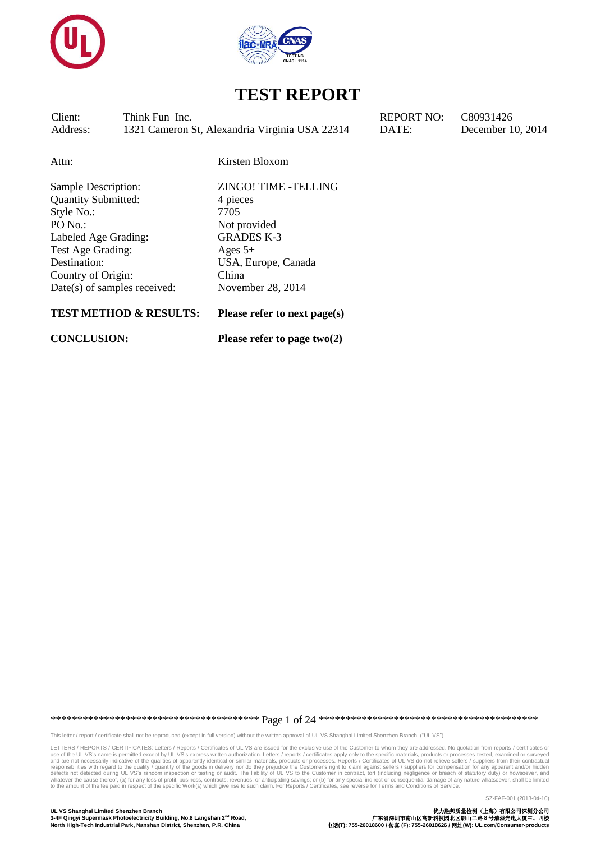



Client: Think Fun Inc. REPORT NO: C80931426 Address: 1321 Cameron St, Alexandria Virginia USA 22314 DATE: December 10, 2014

Attn: Kirsten Bloxom

Quantity Submitted: 4 pieces Style No.: 7705 PO No.: Not provided Labeled Age Grading: GRADES K-3 Test Age Grading: Ages 5+ Destination: USA, Europe, Canada Country of Origin: China Date(s) of samples received: November 28, 2014

Sample Description: ZINGO! TIME -TELLING

#### **TEST METHOD & RESULTS: Please refer to next page(s)**

**CONCLUSION: Please refer to page two(2)**

\*\*\*\*\*\*\*\*\*\*\*\*\*\*\*\*\*\*\*\*\*\*\*\*\*\*\*\*\*\*\*\*\*\*\*\*\*\*\* Page 1 of 24 \*\*\*\*\*\*\*\*\*\*\*\*\*\*\*\*\*\*\*\*\*\*\*\*\*\*\*\*\*\*\*\*\*\*\*\*\*\*\*\*\*

This letter / report / certificate shall not be reproduced (except in full version) without the written approval of UL VS Shanghai Limited Shenzhen Branch. ("UL VS")

LETTERS / REPORTS / CERTIFICATES: Letters / Reports / Certificates of UL VS are issued for the exclusive use of the Customer to whom they are addressed. No quotation from reports / certificates or<br>use of the UL VS's name i responsibilities with regard to the quality / quantity of the goods in delivery nor do they prejudice the Customer's right to claim against sellers / suppliers for compensation for any apparent and/or hidden defects not de

SZ-FAF-001 (2013-04-10)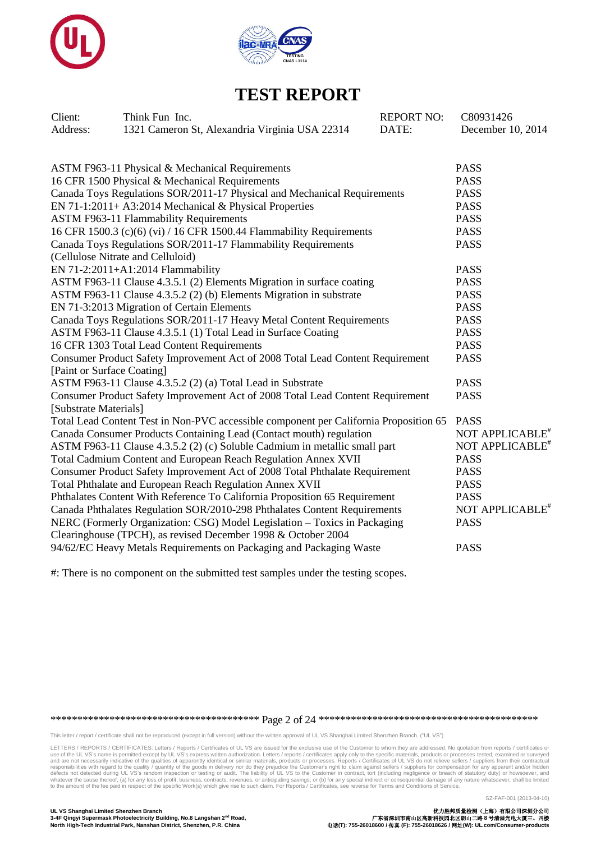



| Client:                    | Think Fun Inc.                                                                        | <b>REPORT NO:</b> | C80931426                   |  |
|----------------------------|---------------------------------------------------------------------------------------|-------------------|-----------------------------|--|
| Address:                   | 1321 Cameron St, Alexandria Virginia USA 22314                                        | DATE:             | December 10, 2014           |  |
|                            |                                                                                       |                   |                             |  |
|                            | ASTM F963-11 Physical & Mechanical Requirements                                       |                   | <b>PASS</b>                 |  |
|                            | 16 CFR 1500 Physical & Mechanical Requirements                                        |                   | <b>PASS</b>                 |  |
|                            | Canada Toys Regulations SOR/2011-17 Physical and Mechanical Requirements              |                   | <b>PASS</b>                 |  |
|                            | EN 71-1:2011+ A3:2014 Mechanical & Physical Properties                                |                   | <b>PASS</b>                 |  |
|                            | <b>ASTM F963-11 Flammability Requirements</b>                                         |                   | <b>PASS</b>                 |  |
|                            | 16 CFR 1500.3 (c)(6) (vi) / 16 CFR 1500.44 Flammability Requirements                  |                   | <b>PASS</b>                 |  |
|                            | Canada Toys Regulations SOR/2011-17 Flammability Requirements                         |                   | <b>PASS</b>                 |  |
|                            | (Cellulose Nitrate and Celluloid)                                                     |                   |                             |  |
|                            | EN 71-2:2011+A1:2014 Flammability                                                     |                   | <b>PASS</b>                 |  |
|                            | ASTM F963-11 Clause 4.3.5.1 (2) Elements Migration in surface coating                 |                   | <b>PASS</b>                 |  |
|                            | ASTM F963-11 Clause 4.3.5.2 (2) (b) Elements Migration in substrate                   |                   | <b>PASS</b>                 |  |
|                            | EN 71-3:2013 Migration of Certain Elements                                            |                   | <b>PASS</b>                 |  |
|                            | Canada Toys Regulations SOR/2011-17 Heavy Metal Content Requirements                  |                   | <b>PASS</b>                 |  |
|                            | ASTM F963-11 Clause 4.3.5.1 (1) Total Lead in Surface Coating                         |                   | <b>PASS</b>                 |  |
|                            | 16 CFR 1303 Total Lead Content Requirements                                           |                   | <b>PASS</b>                 |  |
|                            | Consumer Product Safety Improvement Act of 2008 Total Lead Content Requirement        |                   | <b>PASS</b>                 |  |
| [Paint or Surface Coating] |                                                                                       |                   |                             |  |
|                            | ASTM F963-11 Clause 4.3.5.2 (2) (a) Total Lead in Substrate                           |                   | <b>PASS</b>                 |  |
|                            | Consumer Product Safety Improvement Act of 2008 Total Lead Content Requirement        |                   | <b>PASS</b>                 |  |
| [Substrate Materials]      |                                                                                       |                   |                             |  |
|                            | Total Lead Content Test in Non-PVC accessible component per California Proposition 65 |                   | <b>PASS</b>                 |  |
|                            | Canada Consumer Products Containing Lead (Contact mouth) regulation                   |                   | NOT APPLICABLE <sup>#</sup> |  |
|                            | ASTM F963-11 Clause 4.3.5.2 (2) (c) Soluble Cadmium in metallic small part            |                   | NOT APPLICABLE <sup>#</sup> |  |
|                            | Total Cadmium Content and European Reach Regulation Annex XVII                        |                   | <b>PASS</b>                 |  |
|                            | Consumer Product Safety Improvement Act of 2008 Total Phthalate Requirement           |                   | <b>PASS</b>                 |  |
|                            | Total Phthalate and European Reach Regulation Annex XVII                              |                   | <b>PASS</b>                 |  |
|                            | Phthalates Content With Reference To California Proposition 65 Requirement            |                   | <b>PASS</b>                 |  |
|                            | Canada Phthalates Regulation SOR/2010-298 Phthalates Content Requirements             |                   | NOT APPLICABLE <sup>#</sup> |  |
|                            | NERC (Formerly Organization: CSG) Model Legislation - Toxics in Packaging             |                   | <b>PASS</b>                 |  |
|                            | Clearinghouse (TPCH), as revised December 1998 & October 2004                         |                   |                             |  |
|                            | 94/62/EC Heavy Metals Requirements on Packaging and Packaging Waste                   |                   | <b>PASS</b>                 |  |

#: There is no component on the submitted test samples under the testing scopes.

\*\*\*\*\*\*\*\*\*\*\*\*\*\*\*\*\*\*\*\*\*\*\*\*\*\*\*\*\*\*\*\*\*\*\*\*\*\*\* Page 2 of 24 \*\*\*\*\*\*\*\*\*\*\*\*\*\*\*\*\*\*\*\*\*\*\*\*\*\*\*\*\*\*\*\*\*\*\*\*\*\*\*\*\*

This letter / report / certificate shall not be reproduced (except in full version) without the written approval of UL VS Shanghai Limited Shenzhen Branch. ("UL VS")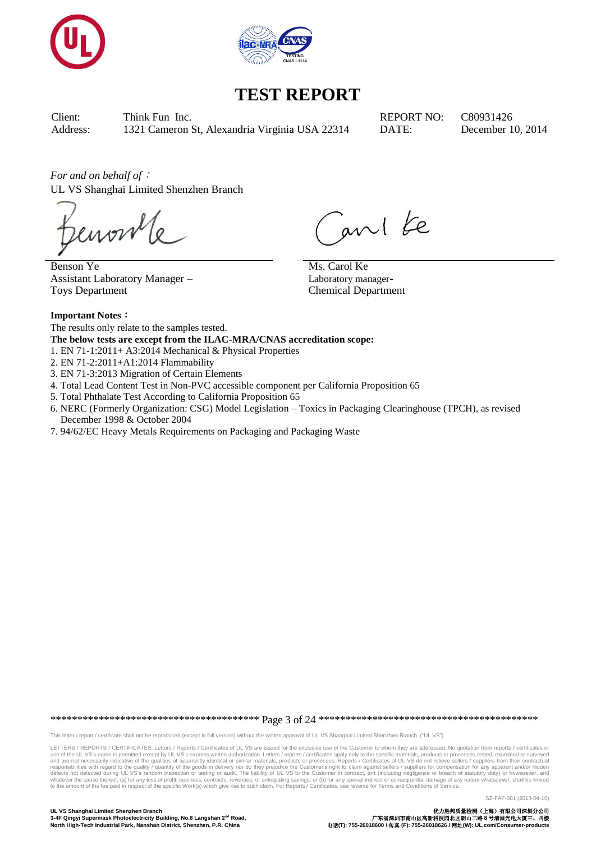



Client: Think Fun Inc. REPORT NO: C80931426 Address: 1321 Cameron St, Alexandria Virginia USA 22314 DATE: December 10, 2014

*For and on behalf of*: UL VS Shanghai Limited Shenzhen Branch

enon

Benson Ye Assistant Laboratory Manager – Toys Department

ani ke Ms. Carol Ke

Laboratory manager-Chemical Department

**Important Notes**: The results only relate to the samples tested.

**The below tests are except from the ILAC-MRA/CNAS accreditation scope:**

1. EN 71-1:2011+ A3:2014 Mechanical & Physical Properties

2. EN 71-2:2011+A1:2014 Flammability

3. EN 71-3:2013 Migration of Certain Elements

4. Total Lead Content Test in Non-PVC accessible component per California Proposition 65

- 5. Total Phthalate Test According to California Proposition 65
- 6. NERC (Formerly Organization: CSG) Model Legislation Toxics in Packaging Clearinghouse (TPCH), as revised December 1998 & October 2004
- 7. 94/62/EC Heavy Metals Requirements on Packaging and Packaging Waste

\*\*\*\*\*\*\*\*\*\*\*\*\*\*\*\*\*\*\*\*\*\*\*\*\*\*\*\*\*\*\*\*\*\*\*\*\*\*\* Page 3 of 24 \*\*\*\*\*\*\*\*\*\*\*\*\*\*\*\*\*\*\*\*\*\*\*\*\*\*\*\*\*\*\*\*\*\*\*\*\*\*\*\*\*

This letter / report / certificate shall not be reproduced (except in full version) without the written approval of UL VS Shanghai Limited Shenzhen Branch. ("UL VS")

LETTERS / REPORTS / CERTIFICATES: Letters / Reports / Certificates of UL VS are issued for the exclusive use of the Customer to whom they are addressed. No quotation from reports / certificates or<br>use of the UL VS's name i responsibilities with regard to the quality / quantity of the goods in delivery nor do they prejudice the Customer's right to claim against sellers / suppliers for compensation for any apparent and/or hidden defects not de

**UL VS Shanghai Limited Shenzhen Branch** 优力胜邦质量检测(上海)有限公司深圳分公司 **North High-Tech Industrial Park, Nanshan District, Shenzhen, P.R. China** 电话**(T): 755-26018600 /** 传真 **(F): 755-26018626 /** 网址**(W): UL.com/Consumer-products**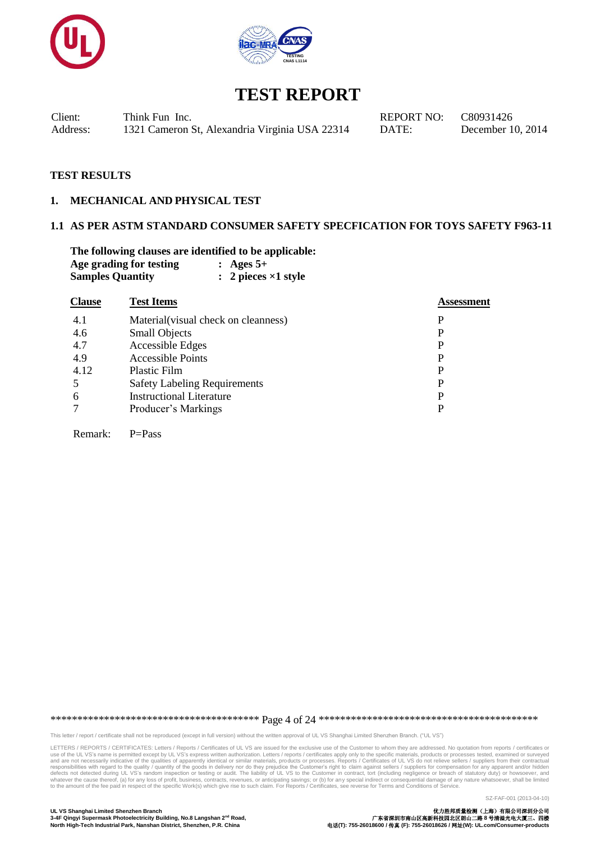



Client: Think Fun Inc. REPORT NO: C80931426 Address: 1321 Cameron St, Alexandria Virginia USA 22314 DATE: December 10, 2014

#### **TEST RESULTS**

Remark: P=Pass

#### **1. MECHANICAL AND PHYSICAL TEST**

### **1.1 AS PER ASTM STANDARD CONSUMER SAFETY SPECFICATION FOR TOYS SAFETY F963-11**

**The following clauses are identified to be applicable: Age grading for testing : Ages 5+ Samples Quantity : 2 pieces ×1 style**

| <b>Clause</b> | <b>Test Items</b>                    | Assessment |
|---------------|--------------------------------------|------------|
| 4.1           | Material (visual check on cleanness) | P          |
| 4.6           | <b>Small Objects</b>                 | P          |
| 4.7           | Accessible Edges                     | P          |
| 4.9           | <b>Accessible Points</b>             | P          |
| 4.12          | Plastic Film                         | P          |
| .5            | <b>Safety Labeling Requirements</b>  | P          |
| 6             | <b>Instructional Literature</b>      | P          |
| 7             | Producer's Markings                  | P          |
|               |                                      |            |

\*\*\*\*\*\*\*\*\*\*\*\*\*\*\*\*\*\*\*\*\*\*\*\*\*\*\*\*\*\*\*\*\*\*\*\*\*\*\* Page 4 of 24 \*\*\*\*\*\*\*\*\*\*\*\*\*\*\*\*\*\*\*\*\*\*\*\*\*\*\*\*\*\*\*\*\*\*\*\*\*\*\*\*\*

This letter / report / certificate shall not be reproduced (except in full version) without the written approval of UL VS Shanghai Limited Shenzhen Branch. ("UL VS")

LETTERS / REPORTS / CERTIFICATES: Letters / Reports / Certificates of UL VS are issued for the exclusive use of the Customer to whom they are addressed. No quotation from reports / certificates or<br>use of the UL VS's name i responsibilities with regard to the quality / quantity of the goods in delivery nor do they prejudice the Customer's right to claim against sellers / suppliers for compensation for any apparent and/or hidden defects not de

SZ-FAF-001 (2013-04-10)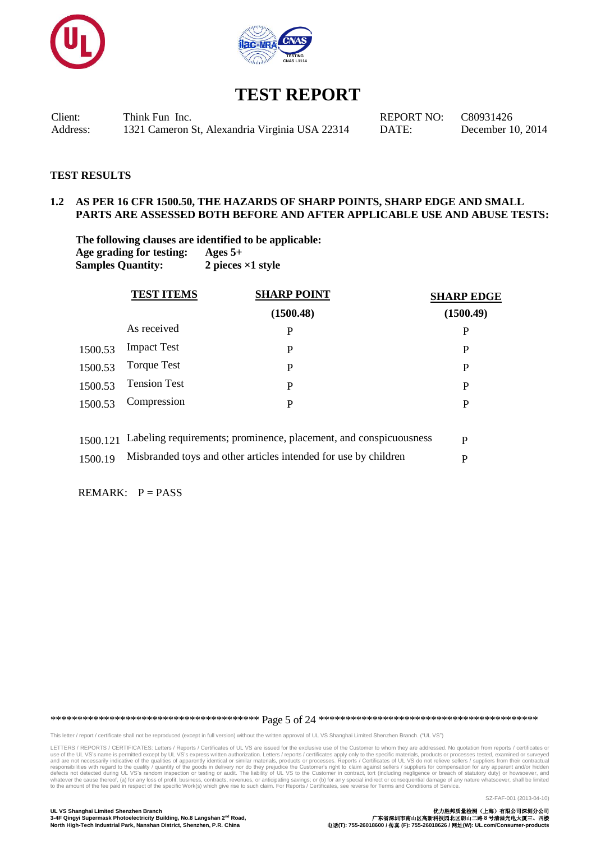



Client: Think Fun Inc. REPORT NO: C80931426 Address: 1321 Cameron St, Alexandria Virginia USA 22314 DATE: December 10, 2014

#### **TEST RESULTS**

### **1.2 AS PER 16 CFR 1500.50, THE HAZARDS OF SHARP POINTS, SHARP EDGE AND SMALL PARTS ARE ASSESSED BOTH BEFORE AND AFTER APPLICABLE USE AND ABUSE TESTS:**

**The following clauses are identified to be applicable: Age grading for testing: Ages 5+ Samples Quantity: 2 pieces ×1 style**

|         | <b>SHARP POINT</b><br><b>TEST ITEMS</b> |           | <b>SHARP EDGE</b> |
|---------|-----------------------------------------|-----------|-------------------|
|         |                                         | (1500.48) | (1500.49)         |
|         | As received                             | P         | P                 |
| 1500.53 | <b>Impact Test</b>                      | P         | P                 |
| 1500.53 | <b>Torque Test</b>                      | P         | P                 |
| 1500.53 | <b>Tension Test</b>                     | P         | P                 |
| 1500.53 | Compression                             | P         | P                 |
|         |                                         |           |                   |
|         |                                         |           |                   |

| 1500.121 Labeling requirements; prominence, placement, and conspicuousness |  |
|----------------------------------------------------------------------------|--|
| 1500.19 Misbranded toys and other articles intended for use by children    |  |

REMARK:  $P = PASS$ 

\*\*\*\*\*\*\*\*\*\*\*\*\*\*\*\*\*\*\*\*\*\*\*\*\*\*\*\*\*\*\*\*\*\*\*\*\*\*\* Page 5 of 24 \*\*\*\*\*\*\*\*\*\*\*\*\*\*\*\*\*\*\*\*\*\*\*\*\*\*\*\*\*\*\*\*\*\*\*\*\*\*\*\*\*

This letter / report / certificate shall not be reproduced (except in full version) without the written approval of UL VS Shanghai Limited Shenzhen Branch. ("UL VS")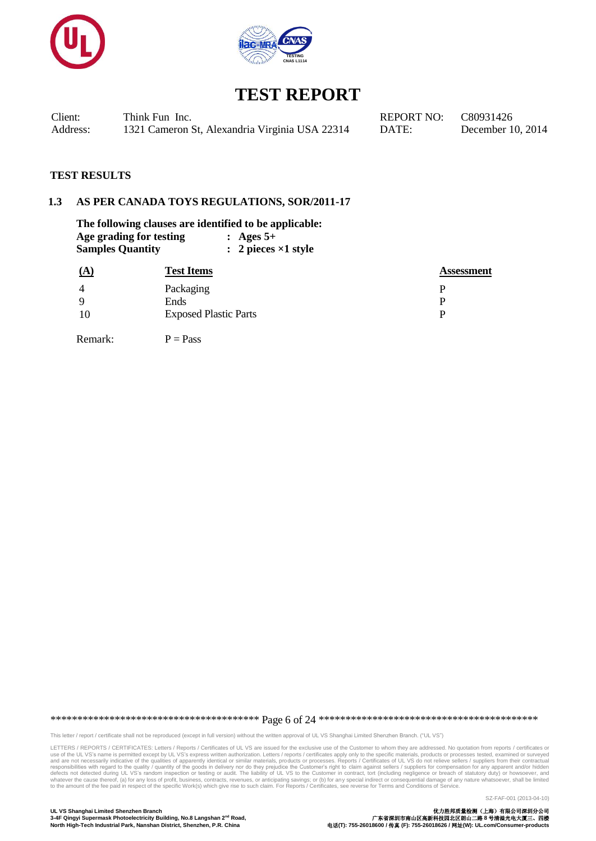



| Client:  | Think Fun Inc.                                 | <b>REPORT NO:</b> | C80931426  |
|----------|------------------------------------------------|-------------------|------------|
| Address: | 1321 Cameron St, Alexandria Virginia USA 22314 | DATE:             | December 1 |

ecember 10, 2014

 $\bf Assessment$ 

#### **TEST RESULTS**

#### **1.3 AS PER CANADA TOYS REGULATIONS, SOR/2011-17**

| The following clauses are identified to be applicable: |                         |  |                               |  |  |  |
|--------------------------------------------------------|-------------------------|--|-------------------------------|--|--|--|
|                                                        | Age grading for testing |  | : Ages $5+$                   |  |  |  |
| <b>Samples Quantity</b>                                |                         |  | $: 2$ pieces $\times$ 1 style |  |  |  |
| <u>(A)</u>                                             | <b>Test Items</b>       |  |                               |  |  |  |
|                                                        | $D_{\alpha}$ alzacina   |  |                               |  |  |  |

| $\overline{4}$ | Packaging                    |  |
|----------------|------------------------------|--|
| -9             | Ends                         |  |
| -10            | <b>Exposed Plastic Parts</b> |  |

Remark:  $P = Pass$ 

\*\*\*\*\*\*\*\*\*\*\*\*\*\*\*\*\*\*\*\*\*\*\*\*\*\*\*\*\*\*\*\*\*\*\*\*\*\*\* Page 6 of 24 \*\*\*\*\*\*\*\*\*\*\*\*\*\*\*\*\*\*\*\*\*\*\*\*\*\*\*\*\*\*\*\*\*\*\*\*\*\*\*\*\*

This letter / report / certificate shall not be reproduced (except in full version) without the written approval of UL VS Shanghai Limited Shenzhen Branch. ("UL VS")

LETTERS / REPORTS / CERTIFICATES: Letters / Reports / Certificates of UL VS are issued for the exclusive use of the Customer to whom they are addressed. No quotation from reports / certificates or<br>use of the UL VS's name i

SZ-FAF-001 (2013-04-10)

**UL VS Shanghai Limited Shenzhen Branch** 优力胜邦质量检测(上海)有限公司深圳分公司 **3-4F Qingyi Supermask Photoelectricity Building, No.8 Langshan 2nd Road,** 广东省深圳市南山区高新科技园北区朗山二路 **8** 号清溢光电大厦三、四楼 **North High-Tech Industrial Park, Nanshan District, Shenzhen, P.R. China** 电话**(T): 755-26018600 /** 传真 **(F): 755-26018626 /** 网址**(W): UL.com/Consumer-products**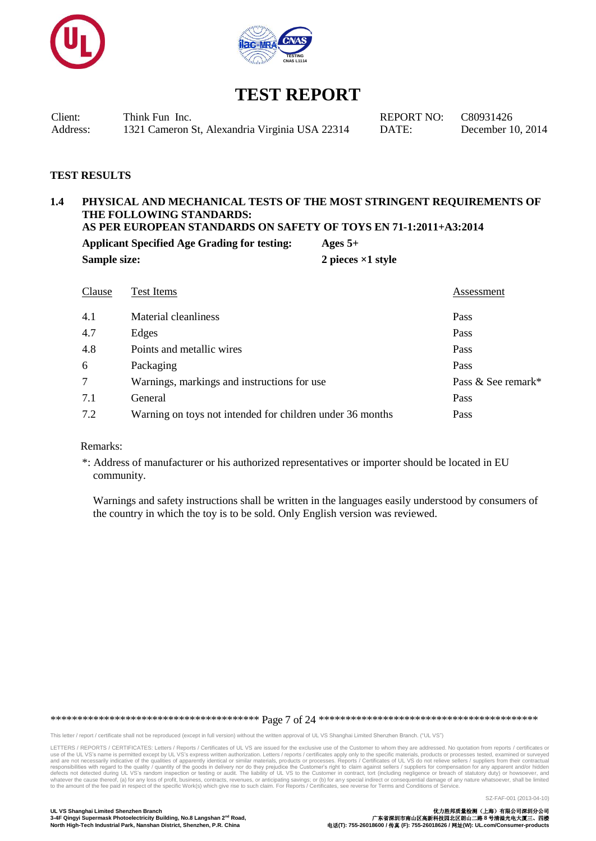



Client: Think Fun Inc. REPORT NO: C80931426 Address: 1321 Cameron St, Alexandria Virginia USA 22314 DATE: December 10, 2014

### **TEST RESULTS**

### **1.4 PHYSICAL AND MECHANICAL TESTS OF THE MOST STRINGENT REQUIREMENTS OF THE FOLLOWING STANDARDS:**

**AS PER EUROPEAN STANDARDS ON SAFETY OF TOYS EN 71-1:2011+A3:2014**

**Applicant Specified Age Grading for testing: Ages 5+ Sample size:** 2 pieces  $\times$ 1 style

| Clause | Test Items                                                | Assessment         |
|--------|-----------------------------------------------------------|--------------------|
| 4.1    | Material cleanliness                                      | Pass               |
| 4.7    | Edges                                                     | Pass               |
| 4.8    | Points and metallic wires                                 | Pass               |
| 6      | Packaging                                                 | Pass               |
| $\tau$ | Warnings, markings and instructions for use               | Pass & See remark* |
| 7.1    | General                                                   | Pass               |
| 7.2    | Warning on toys not intended for children under 36 months | Pass               |

#### Remarks:

\*: Address of manufacturer or his authorized representatives or importer should be located in EU community.

 Warnings and safety instructions shall be written in the languages easily understood by consumers of the country in which the toy is to be sold. Only English version was reviewed.

\*\*\*\*\*\*\*\*\*\*\*\*\*\*\*\*\*\*\*\*\*\*\*\*\*\*\*\*\*\*\*\*\*\*\*\*\*\*\* Page 7 of 24 \*\*\*\*\*\*\*\*\*\*\*\*\*\*\*\*\*\*\*\*\*\*\*\*\*\*\*\*\*\*\*\*\*\*\*\*\*\*\*\*\*

This letter / report / certificate shall not be reproduced (except in full version) without the written approval of UL VS Shanghai Limited Shenzhen Branch. ("UL VS")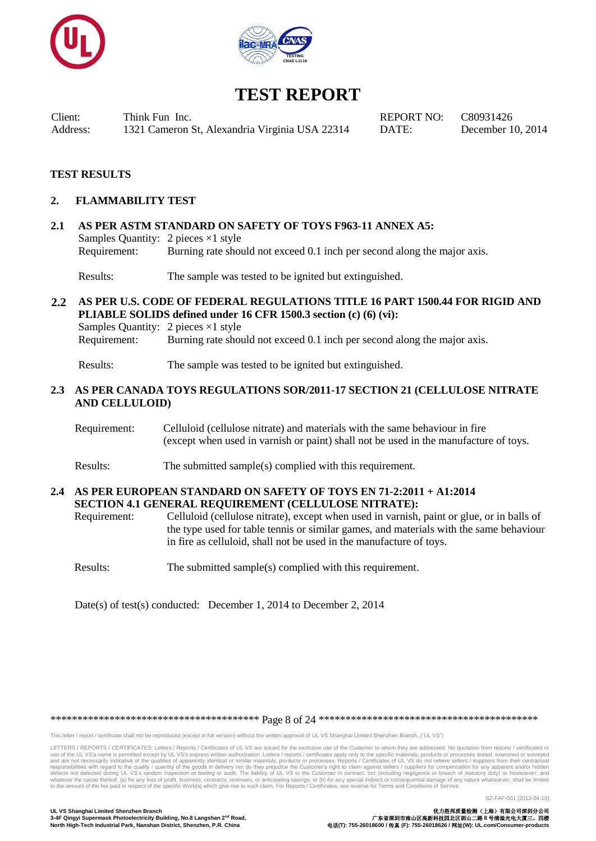



Client: Think Fun Inc. REPORT NO: C80931426 Address: 1321 Cameron St, Alexandria Virginia USA 22314 DATE: December 10, 2014

#### **TEST RESULTS**

#### **2. FLAMMABILITY TEST**

### **2.1 AS PER ASTM STANDARD ON SAFETY OF TOYS F963-11 ANNEX A5:** Samples Quantity: 2 pieces ×1 style Requirement: Burning rate should not exceed 0.1 inch per second along the major axis.

Results: The sample was tested to be ignited but extinguished.

#### **2.2 AS PER U.S. CODE OF FEDERAL REGULATIONS TITLE 16 PART 1500.44 FOR RIGID AND PLIABLE SOLIDS defined under 16 CFR 1500.3 section (c) (6) (vi):** Samples Quantity: 2 pieces ×1 style

Requirement: Burning rate should not exceed 0.1 inch per second along the major axis.

Results: The sample was tested to be ignited but extinguished.

#### **2.3 AS PER CANADA TOYS REGULATIONS SOR/2011-17 SECTION 21 (CELLULOSE NITRATE AND CELLULOID)**

- Requirement: Celluloid (cellulose nitrate) and materials with the same behaviour in fire (except when used in varnish or paint) shall not be used in the manufacture of toys.
- Results: The submitted sample(s) complied with this requirement.

### **2.4 AS PER EUROPEAN STANDARD ON SAFETY OF TOYS EN 71-2:2011 + A1:2014 SECTION 4.1 GENERAL REQUIREMENT (CELLULOSE NITRATE):**

Requirement: Celluloid (cellulose nitrate), except when used in varnish, paint or glue, or in balls of the type used for table tennis or similar games, and materials with the same behaviour in fire as celluloid, shall not be used in the manufacture of toys.

Results: The submitted sample(s) complied with this requirement.

Date(s) of test(s) conducted: December 1, 2014 to December 2, 2014

\*\*\*\*\*\*\*\*\*\*\*\*\*\*\*\*\*\*\*\*\*\*\*\*\*\*\*\*\*\*\*\*\*\*\*\*\*\*\* Page 8 of 24 \*\*\*\*\*\*\*\*\*\*\*\*\*\*\*\*\*\*\*\*\*\*\*\*\*\*\*\*\*\*\*\*\*\*\*\*\*\*\*\*\*

This letter / report / certificate shall not be reproduced (except in full version) without the written approval of UL VS Shanghai Limited Shenzhen Branch. ("UL VS")

LETTERS / REPORTS / CERTIFICATES: Letters / Reports / Certificates of UL VS are issued for the exclusive use of the Customer to whom they are addressed. No quotation from reports / certificates or use of the UL VS's name is permitted except by UL VS's express written authorization. Letters / reports / certificates apply only to the specific materials, products or processes tested, examined or surveyed<br>and are not ne responsibilities with regard to the quality / quantity of the goods in delivery nor do they prejudice the Customer's right to claim against sellers / suppliers for compensation for any apparent and/or hidden defects not de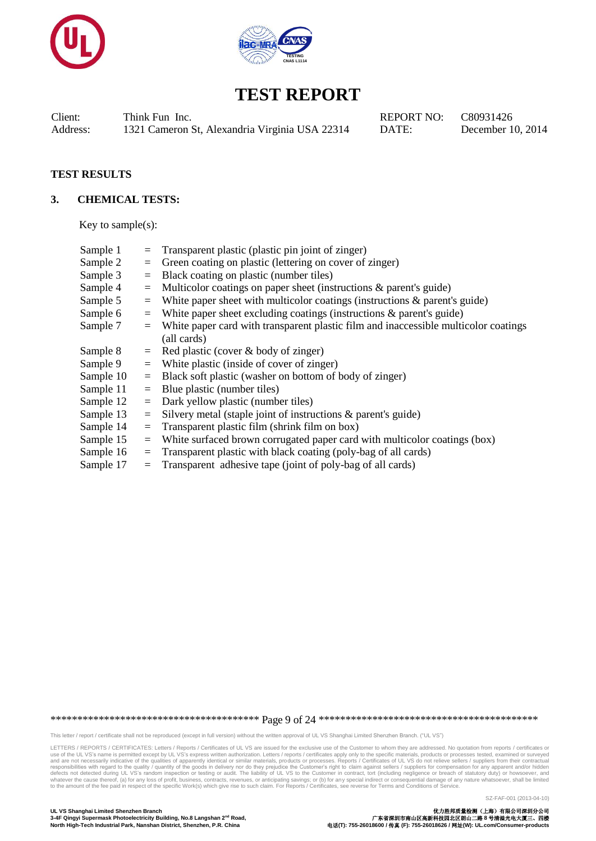



Client: Think Fun Inc. REPORT NO: C80931426 Address: 1321 Cameron St, Alexandria Virginia USA 22314 DATE: December 10, 2014

### **TEST RESULTS**

#### **3. CHEMICAL TESTS:**

Key to sample(s):

| Sample 1  | $=$ | Transparent plastic (plastic pin joint of zinger)                                   |
|-----------|-----|-------------------------------------------------------------------------------------|
| Sample 2  | $=$ | Green coating on plastic (lettering on cover of zinger)                             |
| Sample 3  | $=$ | Black coating on plastic (number tiles)                                             |
| Sample 4  | $=$ | Multicolor coatings on paper sheet (instructions & parent's guide)                  |
| Sample 5  | $=$ | White paper sheet with multicolor coatings (instructions $\&$ parent's guide)       |
| Sample 6  | $=$ | White paper sheet excluding coatings (instructions $\&$ parent's guide)             |
| Sample 7  | $=$ | White paper card with transparent plastic film and inaccessible multicolor coatings |
|           |     | (all cards)                                                                         |
| Sample 8  | $=$ | Red plastic (cover & body of zinger)                                                |
| Sample 9  |     | $=$ White plastic (inside of cover of zinger)                                       |
| Sample 10 | $=$ | Black soft plastic (washer on bottom of body of zinger)                             |
| Sample 11 | $=$ | Blue plastic (number tiles)                                                         |
| Sample 12 | $=$ | Dark yellow plastic (number tiles)                                                  |
| Sample 13 | $=$ | Silvery metal (staple joint of instructions $\&$ parent's guide)                    |
| Sample 14 | $=$ | Transparent plastic film (shrink film on box)                                       |
| Sample 15 | $=$ | White surfaced brown corrugated paper card with multicolor coatings (box)           |
| Sample 16 | $=$ | Transparent plastic with black coating (poly-bag of all cards)                      |
| Sample 17 | $=$ | Transparent adhesive tape (joint of poly-bag of all cards)                          |

\*\*\*\*\*\*\*\*\*\*\*\*\*\*\*\*\*\*\*\*\*\*\*\*\*\*\*\*\*\*\*\*\*\*\*\*\*\*\* Page 9 of 24 \*\*\*\*\*\*\*\*\*\*\*\*\*\*\*\*\*\*\*\*\*\*\*\*\*\*\*\*\*\*\*\*\*\*\*\*\*\*\*\*\*

This letter / report / certificate shall not be reproduced (except in full version) without the written approval of UL VS Shanghai Limited Shenzhen Branch. ("UL VS")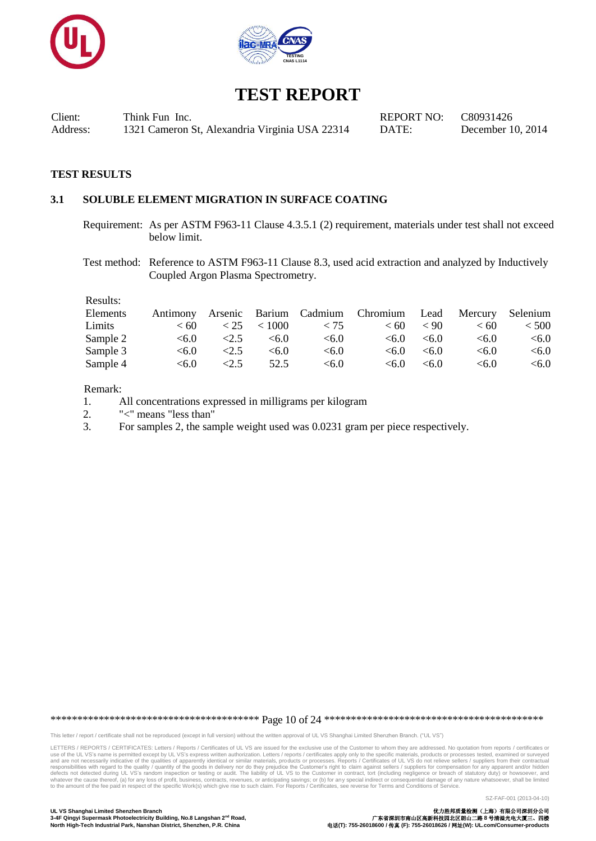



Client: Think Fun Inc. REPORT NO: C80931426<br>Address: 1321 Cameron St. Alexandria Virginia USA 22314 DATE: December 1 Address: 1321 Cameron St, Alexandria Virginia USA 22314 DATE: December 10, 2014

#### **TEST RESULTS**

### **3.1 SOLUBLE ELEMENT MIGRATION IN SURFACE COATING**

Requirement: As per ASTM F963-11 Clause 4.3.5.1 (2) requirement, materials under test shall not exceed below limit.

Test method: Reference to ASTM F963-11 Clause 8.3, used acid extraction and analyzed by Inductively Coupled Argon Plasma Spectrometry.

Results:

| Elements | Antimony |      |                 |       | Arsenic Barium Cadmium Chromium Lead Mercury Selenium |       |       |         |
|----------|----------|------|-----------------|-------|-------------------------------------------------------|-------|-------|---------|
| Limits   | < 60     |      | $< 25$ $< 1000$ | < 75  | < 60                                                  | < 90  | < 60  | < 500   |
| Sample 2 | < 6.0    | <2.5 | < 6.0           | < 6.0 | < 6.0                                                 | < 6.0 | <6.0  | < 6.0   |
| Sample 3 | < 6.0    | <2.5 | < 6.0           | < 6.0 | < 6.0                                                 | <6.0  | < 6.0 | $<$ 6.0 |
| Sample 4 | < 6.0    | <2.5 | 52.5            | < 6.0 | < 6.0                                                 | < 6.0 | < 6.0 | <6.0    |

Remark:

- 1. All concentrations expressed in milligrams per kilogram
- 2. "<" means "less than"
- 3. For samples 2, the sample weight used was 0.0231 gram per piece respectively.

\*\*\*\*\*\*\*\*\*\*\*\*\*\*\*\*\*\*\*\*\*\*\*\*\*\*\*\*\*\*\*\*\*\*\*\*\*\*\* Page 10 of 24 \*\*\*\*\*\*\*\*\*\*\*\*\*\*\*\*\*\*\*\*\*\*\*\*\*\*\*\*\*\*\*\*\*\*\*\*\*\*\*\*\*

This letter / report / certificate shall not be reproduced (except in full version) without the written approval of UL VS Shanghai Limited Shenzhen Branch. ("UL VS")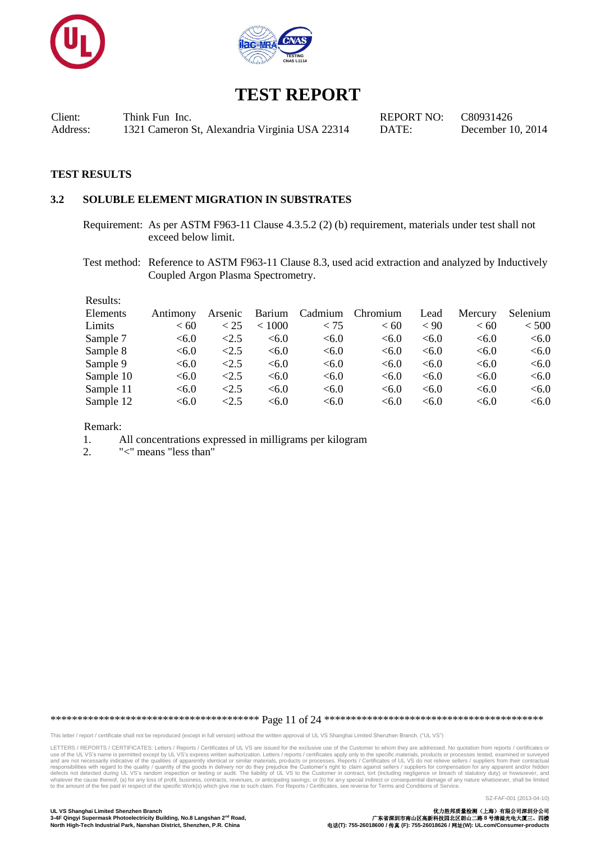



Client: Think Fun Inc. REPORT NO: C80931426 Address: 1321 Cameron St, Alexandria Virginia USA 22314 DATE: December 10, 2014

#### **TEST RESULTS**

### **3.2 SOLUBLE ELEMENT MIGRATION IN SUBSTRATES**

Requirement: As per ASTM F963-11 Clause 4.3.5.2 (2) (b) requirement, materials under test shall not exceed below limit.

Test method: Reference to ASTM F963-11 Clause 8.3, used acid extraction and analyzed by Inductively Coupled Argon Plasma Spectrometry.

| Results:  |          |            |        |         |          |      |         |          |
|-----------|----------|------------|--------|---------|----------|------|---------|----------|
| Elements  | Antimony | Arsenic    | Barium | Cadmium | Chromium | Lead | Mercury | Selenium |
| Limits    | <60      | < 25       | < 1000 | < 75    | <60      | < 90 | <60     | < 500    |
| Sample 7  | < 6.0    | <2.5       | <6.0   | <6.0    | <6.0     | <6.0 | <6.0    | < 6.0    |
| Sample 8  | <6.0     | $\leq$ 2.5 | <6.0   | <6.0    | <6.0     | <6.0 | <6.0    | < 6.0    |
| Sample 9  | <6.0     | <2.5       | <6.0   | < 6.0   | <6.0     | <6.0 | <6.0    | < 6.0    |
| Sample 10 | < 6.0    | <2.5       | <6.0   | <6.0    | <6.0     | <6.0 | <6.0    | < 6.0    |
| Sample 11 | < 6.0    | <2.5       | <6.0   | <6.0    | < 6.0    | <6.0 | <6.0    | < 6.0    |
| Sample 12 | < 6.0    | <2.5       | < 6.0  | <6.0    | < 6.0    | <6.0 | < 6.0   | < 6.0    |

Remark:

1. All concentrations expressed in milligrams per kilogram

2. "<" means "less than"

\*\*\*\*\*\*\*\*\*\*\*\*\*\*\*\*\*\*\*\*\*\*\*\*\*\*\*\*\*\*\*\*\*\*\*\*\*\*\* Page 11 of 24 \*\*\*\*\*\*\*\*\*\*\*\*\*\*\*\*\*\*\*\*\*\*\*\*\*\*\*\*\*\*\*\*\*\*\*\*\*\*\*\*\*

This letter / report / certificate shall not be reproduced (except in full version) without the written approval of UL VS Shanghai Limited Shenzhen Branch. ("UL VS")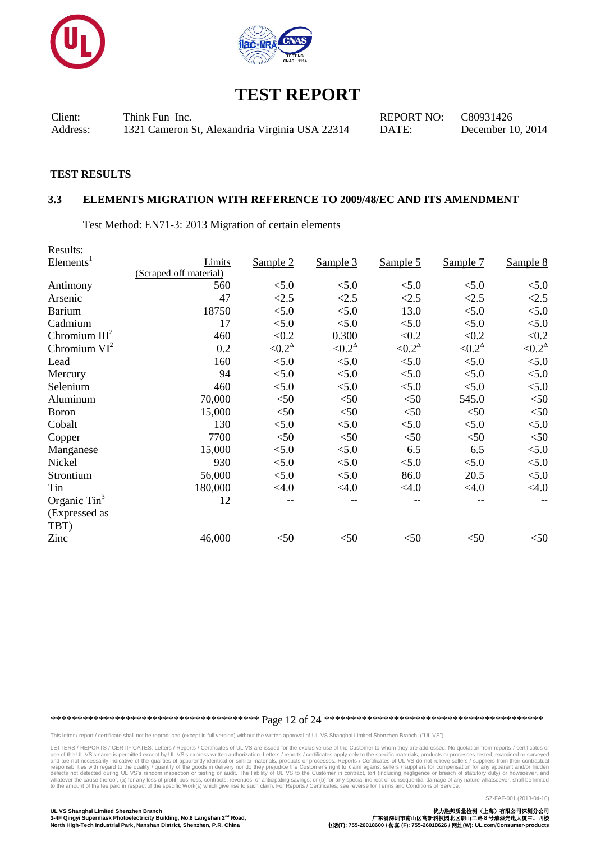



Client: Think Fun Inc. REPORT NO: C80931426 Address: 1321 Cameron St, Alexandria Virginia USA 22314 DATE: December 10, 2014

#### **TEST RESULTS**

#### **3.3 ELEMENTS MIGRATION WITH REFERENCE TO 2009/48/EC AND ITS AMENDMENT**

Test Method: EN71-3: 2013 Migration of certain elements

| Results:                 |                        |                |                |                   |                |                |
|--------------------------|------------------------|----------------|----------------|-------------------|----------------|----------------|
| Elements <sup>1</sup>    | Limits                 | Sample 2       | Sample 3       | Sample 5          | Sample 7       | Sample 8       |
|                          | (Scraped off material) |                |                |                   |                |                |
| Antimony                 | 560                    | < 5.0          | < 5.0          | < 5.0             | < 5.0          | < 5.0          |
| Arsenic                  | 47                     | < 2.5          | <2.5           | < 2.5             | < 2.5          | < 2.5          |
| <b>Barium</b>            | 18750                  | < 5.0          | < 5.0          | 13.0              | < 5.0          | < 5.0          |
| Cadmium                  | 17                     | < 5.0          | < 5.0          | < 5.0             | < 5.0          | < 5.0          |
| Chromium $III2$          | 460                    | < 0.2          | 0.300          | < 0.2             | < 0.2          | < 0.2          |
| Chromium $VI^2$          | 0.2                    | $< 0.2^\Delta$ | $< 0.2^\Delta$ | ${<}0.2^{\Delta}$ | $< 0.2^\Delta$ | $< 0.2^\Delta$ |
| Lead                     | 160                    | < 5.0          | < 5.0          | < 5.0             | < 5.0          | < 5.0          |
| Mercury                  | 94                     | < 5.0          | < 5.0          | < 5.0             | < 5.0          | < 5.0          |
| Selenium                 | 460                    | < 5.0          | < 5.0          | < 5.0             | < 5.0          | < 5.0          |
| Aluminum                 | 70,000                 | $<$ 50         | < 50           | $<$ 50            | 545.0          | < 50           |
| <b>Boron</b>             | 15,000                 | $<$ 50         | < 50           | $<$ 50            | $<$ 50         | $<$ 50         |
| Cobalt                   | 130                    | < 5.0          | < 5.0          | < 5.0             | < 5.0          | $< 5.0$        |
| Copper                   | 7700                   | $<$ 50         | < 50           | $<$ 50            | $<$ 50         | < 50           |
| Manganese                | 15,000                 | < 5.0          | < 5.0          | 6.5               | 6.5            | < 5.0          |
| Nickel                   | 930                    | < 5.0          | < 5.0          | < 5.0             | < 5.0          | < 5.0          |
| Strontium                | 56,000                 | < 5.0          | < 5.0          | 86.0              | 20.5           | < 5.0          |
| Tin                      | 180,000                | $<$ 4.0        | < 4.0          | < 4.0             | < 4.0          | < 4.0          |
| Organic Tin <sup>3</sup> | 12                     |                |                |                   |                |                |
| (Expressed as            |                        |                |                |                   |                |                |
| TBT)                     |                        |                |                |                   |                |                |
| Zinc                     | 46,000                 | $<$ 50         | < 50           | $<$ 50            | $<$ 50         | $<$ 50         |

\*\*\*\*\*\*\*\*\*\*\*\*\*\*\*\*\*\*\*\*\*\*\*\*\*\*\*\*\*\*\*\*\*\*\*\*\*\*\* Page 12 of 24 \*\*\*\*\*\*\*\*\*\*\*\*\*\*\*\*\*\*\*\*\*\*\*\*\*\*\*\*\*\*\*\*\*\*\*\*\*\*\*\*\*

This letter / report / certificate shall not be reproduced (except in full version) without the written approval of UL VS Shanghai Limited Shenzhen Branch. ("UL VS")

LETTERS / REPORTS / CERTIFICATES: Letters / Reports / Certificates of UL VS are issued for the exclusive use of the Customer to whom they are addressed. No quotation from reports / certificates or<br>use of the UL VS's name i responsibilities with regard to the quality / quantity of the goods in delivery nor do they prejudice the Customer's right to claim against sellers / suppliers for compensation for any apparent and/or hidden defects not de

SZ-FAF-001 (2013-04-10)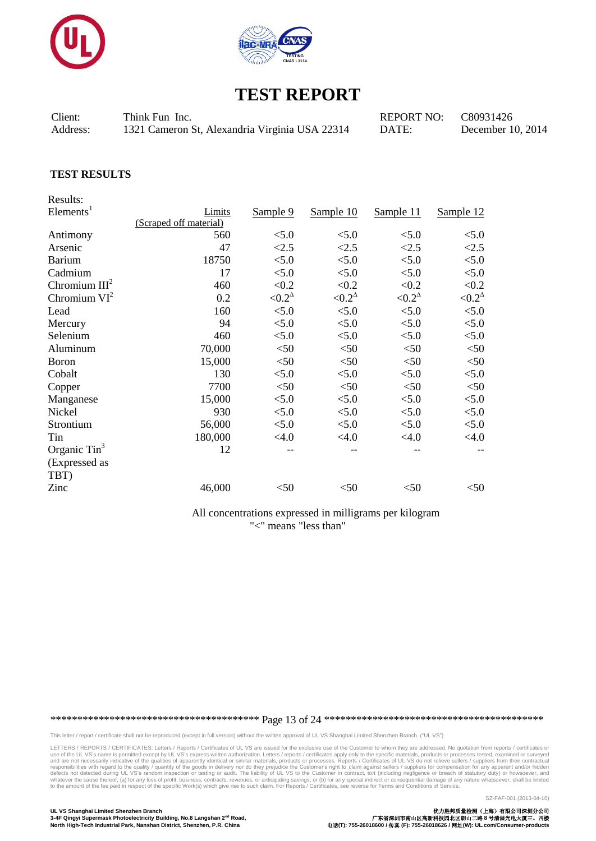

![](_page_12_Picture_1.jpeg)

Client: Think Fun Inc. The CREPORT NO: C80931426 Address: 1321 Cameron St, Alexandria Virginia USA 22314 DATE: December 10, 2014

#### **TEST RESULTS**

Results: Elements<sup>1</sup> Limits (Scraped off material) Sample 9 Sample 10 Sample 11 Sample 12 Antimony 560 <5.0 <5.0 <5.0 <5.0 Arsenic 47 <2.5 <2.5 <2.5 <2.5 Barium 18750 <5.0 <5.0 <5.0 <5.0  $\text{Cadmium} \quad 17 \quad \text{<}5.0 \quad \text{<}5.0 \quad \text{<}5.0 \quad \text{<}5.0$ Chromium  $III<sup>2</sup>$ 460  $< 0.2$   $< 0.2$   $< 0.2$   $< 0.2$   $< 0.2$ Chromium  $VI^2$  $0.2$  <  $0.2^{\Delta}$  $< 0.2^\Delta$  $< 0.2^\Delta$  $< 0.2^\Delta$ Lead  $160 \leq 5.0 \leq 5.0 \leq 5.0$   $\leq 5.0 \leq 5.0$ Mercury 94  $\leq 5.0$   $\leq 5.0$   $\leq 5.0$   $\leq 5.0$ Selenium 460 <5.0 <5.0 <5.0 <5.0 Aluminum 70,000 <50 <50 <50 <50 Boron 15,000  $\leq 50$   $\leq 50$   $\leq 50$   $\leq 50$ Cobalt 130  $\leq 5.0$   $\leq 5.0$   $\leq 5.0$   $\leq 5.0$  $Copper$   $7700$   $<50$   $<50$   $<50$   $<50$ Manganese 15,000  $\leq 5.0$   $\leq 5.0$   $\leq 5.0$   $\leq 5.0$   $\leq 5.0$ Nickel 930 <5.0 <5.0 <5.0 <5.0 Strontium 56,000 <5.0 <5.0 <5.0 <5.0 Tin  $180,000 \leq 4.0 \leq 4.0 \leq 4.0 \leq 4.0$ Organic Tin<sup>3</sup> (Expressed as TBT) 12 -- -- -- --  $\frac{\text{Zinc}}{\text{Zinc}}$  46,000  $\text{<}50$   $\text{<}50$   $\text{<}50$   $\text{<}50$ 

> All concentrations expressed in milligrams per kilogram "<" means "less than"

\*\*\*\*\*\*\*\*\*\*\*\*\*\*\*\*\*\*\*\*\*\*\*\*\*\*\*\*\*\*\*\*\*\*\*\*\*\*\* Page 13 of 24 \*\*\*\*\*\*\*\*\*\*\*\*\*\*\*\*\*\*\*\*\*\*\*\*\*\*\*\*\*\*\*\*\*\*\*\*\*\*\*\*\*

This letter / report / certificate shall not be reproduced (except in full version) without the written approval of UL VS Shanghai Limited Shenzhen Branch. ("UL VS")

LETTERS / REPORTS / CERTIFICATES: Letters / Reports / Certificates of UL VS are issued for the exclusive use of the Customer to whom they are addressed. No quotation from reports / certificates or<br>use of the UL VS's name i responsibilities with regard to the quality / quantity of the goods in delivery nor do they prejudice the Customer's right to claim against sellers / suppliers for compensation for any apparent and/or hidden defects not de

3-4F Qingyi Supermask Photoelectricity Building, No.8 Langshan 2<sup>nd</sup> Road,

**UL VS Shanghai Limited Shenzhen Branch** 优力胜邦质量检测(上海)有限公司深圳分公司 **North High-Tech Industrial Park, Nanshan District, Shenzhen, P.R. China** 电话**(T): 755-26018600 /** 传真 **(F): 755-26018626 /** 网址**(W): UL.com/Consumer-products**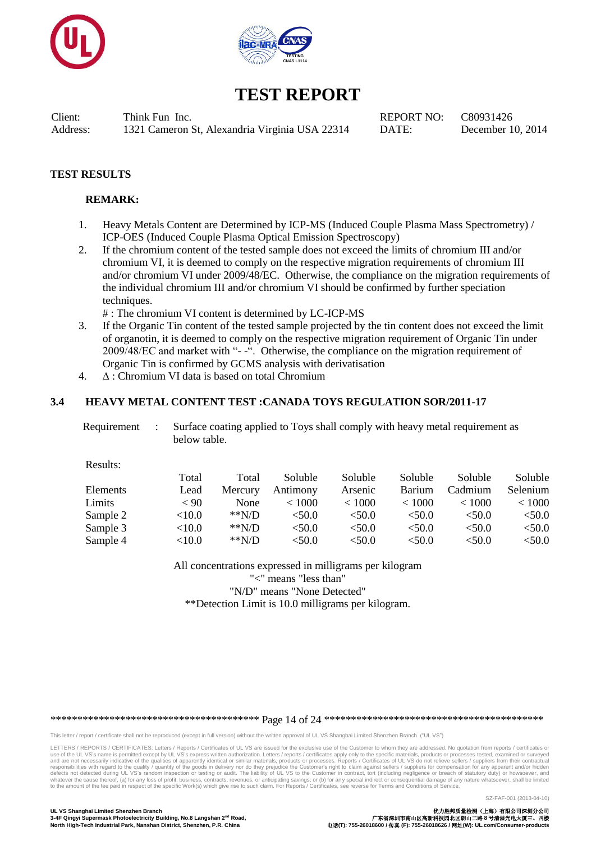![](_page_13_Picture_0.jpeg)

![](_page_13_Picture_1.jpeg)

Client: Think Fun Inc. REPORT NO: C80931426 Address: 1321 Cameron St, Alexandria Virginia USA 22314 DATE: December 10, 2014

### **TEST RESULTS**

#### **REMARK:**

- 1. Heavy Metals Content are Determined by ICP-MS (Induced Couple Plasma Mass Spectrometry) / ICP-OES (Induced Couple Plasma Optical Emission Spectroscopy)
- 2. If the chromium content of the tested sample does not exceed the limits of chromium III and/or chromium VI, it is deemed to comply on the respective migration requirements of chromium III and/or chromium VI under 2009/48/EC. Otherwise, the compliance on the migration requirements of the individual chromium III and/or chromium VI should be confirmed by further speciation techniques.

# : The chromium VI content is determined by LC-ICP-MS

- 3. If the Organic Tin content of the tested sample projected by the tin content does not exceed the limit of organotin, it is deemed to comply on the respective migration requirement of Organic Tin under 2009/48/EC and market with "- -". Otherwise, the compliance on the migration requirement of Organic Tin is confirmed by GCMS analysis with derivatisation
- 4. ∆ : Chromium VI data is based on total Chromium

#### **3.4 HEAVY METAL CONTENT TEST :CANADA TOYS REGULATION SOR/2011-17**

| Requirement : | Surface coating applied to Toys shall comply with heavy metal requirement as |
|---------------|------------------------------------------------------------------------------|
|               | below table.                                                                 |

Results:

|          | Total     | Total   | Soluble  | Soluble | Soluble       | Soluble       | Soluble  |
|----------|-----------|---------|----------|---------|---------------|---------------|----------|
| Elements | Lead      | Mercury | Antimony | Arsenic | <b>Barium</b> | Cadmium       | Selenium |
| Limits   | $\leq 90$ | None    | < 1000   | < 1000  | ${}_{< 1000}$ | ${}_{< 1000}$ | < 1000   |
| Sample 2 | ${<}10.0$ | $*N/D$  | < 50.0   | < 50.0  | < 50.0        | < 50.0        | < 50.0   |
| Sample 3 | $<$ 10.0  | $*N/D$  | < 50.0   | <50.0   | <50.0         | <50.0         | $<$ 50.0 |
| Sample 4 | $<$ 10.0  | $*N/D$  | < 50.0   | <50.0   | $<$ 50.0      | < 50.0        | $<$ 50.0 |

All concentrations expressed in milligrams per kilogram "<" means "less than" "N/D" means "None Detected"

\*\*Detection Limit is 10.0 milligrams per kilogram.

\*\*\*\*\*\*\*\*\*\*\*\*\*\*\*\*\*\*\*\*\*\*\*\*\*\*\*\*\*\*\*\*\*\*\*\*\*\*\* Page 14 of 24 \*\*\*\*\*\*\*\*\*\*\*\*\*\*\*\*\*\*\*\*\*\*\*\*\*\*\*\*\*\*\*\*\*\*\*\*\*\*\*\*\*

This letter / report / certificate shall not be reproduced (except in full version) without the written approval of UL VS Shanghai Limited Shenzhen Branch. ("UL VS")

LETTERS / REPORTS / CERTIFICATES: Letters / Reports / Certificates of UL VS are issued for the exclusive use of the Customer to whom they are addressed. No quotation from reports / certificates or use of the UL VS's name is permitted except by UL VS's express written authorization. Letters / reports / certificates apply only to the specific materials, products or processes tested, examined or surveyed<br>and are not ne responsibilities with regard to the quality / quantity of the goods in delivery nor do they prejudice the Customer's right to claim against sellers / suppliers for compensation for any apparent and/or hidden defects not de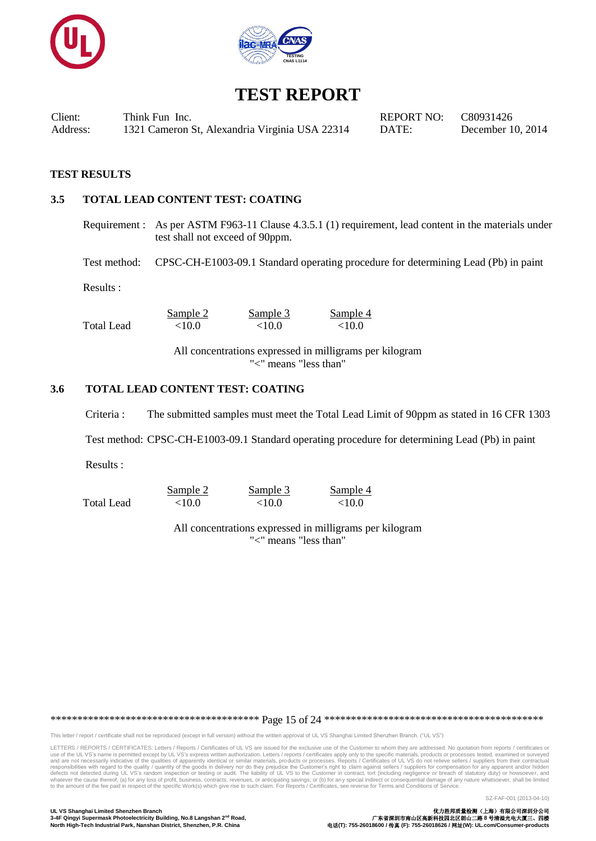![](_page_14_Picture_0.jpeg)

![](_page_14_Picture_1.jpeg)

Client: Think Fun Inc. REPORT NO: C80931426 Address: 1321 Cameron St, Alexandria Virginia USA 22314 DATE: December 10, 2014

#### **TEST RESULTS**

### **3.5 TOTAL LEAD CONTENT TEST: COATING**

Requirement : As per ASTM F963-11 Clause 4.3.5.1 (1) requirement, lead content in the materials under test shall not exceed of 90ppm.

Test method: CPSC-CH-E1003-09.1 Standard operating procedure for determining Lead (Pb) in paint

Results :

|            | Sample 2 | Sample 3  | Sample 4  |
|------------|----------|-----------|-----------|
| Total Lead | <10.0    | ${<}10.0$ | ${<}10.0$ |

All concentrations expressed in milligrams per kilogram "<" means "less than"

### **3.6 TOTAL LEAD CONTENT TEST: COATING**

Criteria : The submitted samples must meet the Total Lead Limit of 90ppm as stated in 16 CFR 1303

Test method: CPSC-CH-E1003-09.1 Standard operating procedure for determining Lead (Pb) in paint

Results :

|            | Sample 2 | Sample 3  | Sample 4 |
|------------|----------|-----------|----------|
| Total Lead | <10.0    | ${<}10.0$ | <10.0    |

All concentrations expressed in milligrams per kilogram "<" means "less than"

\*\*\*\*\*\*\*\*\*\*\*\*\*\*\*\*\*\*\*\*\*\*\*\*\*\*\*\*\*\*\*\*\*\*\*\*\*\*\* Page 15 of 24 \*\*\*\*\*\*\*\*\*\*\*\*\*\*\*\*\*\*\*\*\*\*\*\*\*\*\*\*\*\*\*\*\*\*\*\*\*\*\*\*\*

This letter / report / certificate shall not be reproduced (except in full version) without the written approval of UL VS Shanghai Limited Shenzhen Branch. ("UL VS")

LETTERS / REPORTS / CERTIFICATES: Letters / Reports / Certificates of UL VS are issued for the exclusive use of the Customer to whom they are addressed. No quotation from reports / certificates or use of the UL VS's name is permitted except by UL VS's express written authorization. Letters / reports / certificates apply only to the specific materials, products or processes tested, examined or surveyed<br>and are not ne responsibilities with regard to the quality / quantity of the goods in delivery nor do they prejudice the Customer's right to claim against sellers / suppliers for compensation for any apparent and/or hidden defects not de

SZ-FAF-001 (2013-04-10)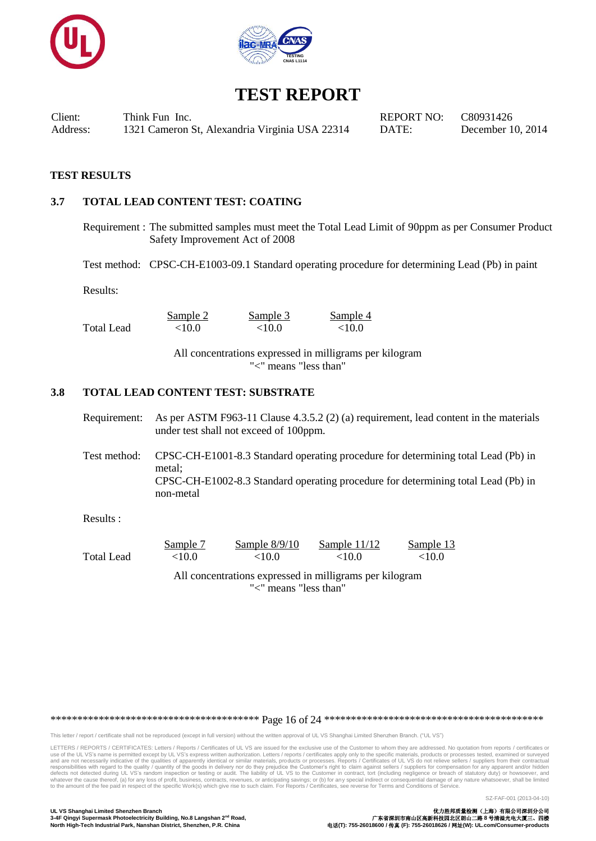![](_page_15_Picture_0.jpeg)

![](_page_15_Picture_1.jpeg)

Client: Think Fun Inc. REPORT NO: C80931426 Address: 1321 Cameron St, Alexandria Virginia USA 22314 DATE: December 10, 2014

#### **TEST RESULTS**

### **3.7 TOTAL LEAD CONTENT TEST: COATING**

Requirement : The submitted samples must meet the Total Lead Limit of 90ppm as per Consumer Product Safety Improvement Act of 2008

Test method: CPSC-CH-E1003-09.1 Standard operating procedure for determining Lead (Pb) in paint

Results:

Sample 2 Sample 3 Sample 4 Total Lead  $< 10.0$   $< 10.0$   $< 10.0$ 

> All concentrations expressed in milligrams per kilogram "<" means "less than"

#### **3.8 TOTAL LEAD CONTENT TEST: SUBSTRATE**

Requirement: As per ASTM F963-11 Clause 4.3.5.2 (2) (a) requirement, lead content in the materials under test shall not exceed of 100ppm.

Test method: CPSC-CH-E1001-8.3 Standard operating procedure for determining total Lead (Pb) in metal; CPSC-CH-E1002-8.3 Standard operating procedure for determining total Lead (Pb) in non-metal

Results :

|            | Sample 7 | Sample $8/9/10$ | Sample $11/12$ | Sample 13 |
|------------|----------|-----------------|----------------|-----------|
| Total Lead | $<$ 10.0 | ${<}10.0$       | ${<}10.0$      | ${<}10.0$ |
|            |          |                 |                |           |

All concentrations expressed in milligrams per kilogram "<" means "less than"

\*\*\*\*\*\*\*\*\*\*\*\*\*\*\*\*\*\*\*\*\*\*\*\*\*\*\*\*\*\*\*\*\*\*\*\*\*\*\* Page 16 of 24 \*\*\*\*\*\*\*\*\*\*\*\*\*\*\*\*\*\*\*\*\*\*\*\*\*\*\*\*\*\*\*\*\*\*\*\*\*\*\*\*\*

This letter / report / certificate shall not be reproduced (except in full version) without the written approval of UL VS Shanghai Limited Shenzhen Branch. ("UL VS")

LETTERS / REPORTS / CERTIFICATES: Letters / Reports / Certificates of UL VS are issued for the exclusive use of the Customer to whom they are addressed. No quotation from reports / certificates or use of the UL VS's name is permitted except by UL VS's express written authorization. Letters / reports / certificates apply only to the specific materials, products or processes tested, examined or surveyed<br>and are not ne responsibilities with regard to the quality / quantity of the goods in delivery nor do they prejudice the Customer's right to claim against sellers / suppliers for compensation for any apparent and/or hidden defects not de

SZ-FAF-001 (2013-04-10)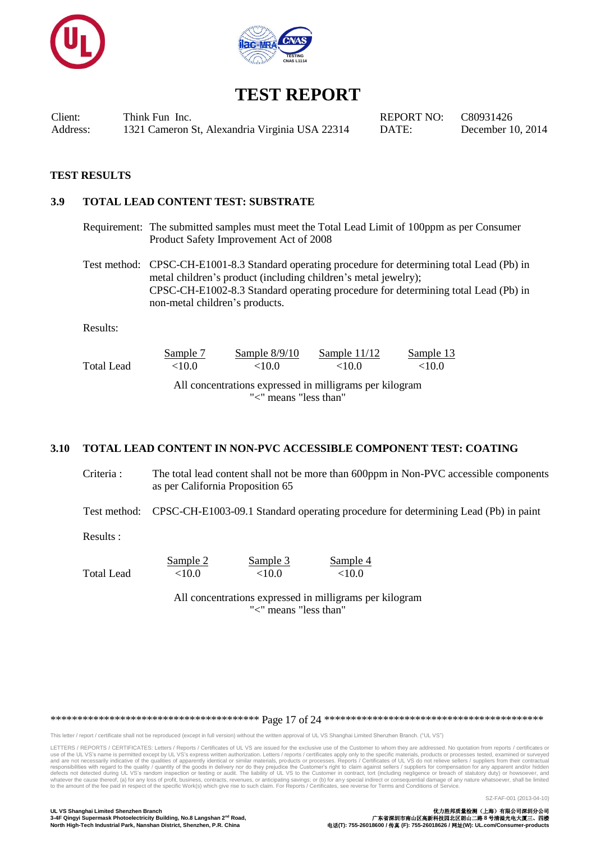![](_page_16_Picture_0.jpeg)

![](_page_16_Picture_1.jpeg)

Client: Think Fun Inc. REPORT NO: C80931426 Address: 1321 Cameron St, Alexandria Virginia USA 22314 DATE: December 10, 2014

#### **TEST RESULTS**

#### **3.9 TOTAL LEAD CONTENT TEST: SUBSTRATE**

Requirement: The submitted samples must meet the Total Lead Limit of 100ppm as per Consumer Product Safety Improvement Act of 2008

Test method: CPSC-CH-E1001-8.3 Standard operating procedure for determining total Lead (Pb) in metal children's product (including children's metal jewelry); CPSC-CH-E1002-8.3 Standard operating procedure for determining total Lead (Pb) in non-metal children's products.

Results:

|                                                                                  | Sample 7  | Sample $8/9/10$ | Sample $11/12$ | Sample 13 |  |  |
|----------------------------------------------------------------------------------|-----------|-----------------|----------------|-----------|--|--|
| Total Lead                                                                       | ${<}10.0$ | <10.0           | <10.0          | <10.0     |  |  |
| All concentrations expressed in milligrams per kilogram<br>"<" means "less than" |           |                 |                |           |  |  |

#### **3.10 TOTAL LEAD CONTENT IN NON-PVC ACCESSIBLE COMPONENT TEST: COATING**

Criteria : The total lead content shall not be more than 600ppm in Non-PVC accessible components as per California Proposition 65

Test method: CPSC-CH-E1003-09.1 Standard operating procedure for determining Lead (Pb) in paint

Results :

Sample 2 Sample 3 Sample 4 Total Lead <10.0 <10.0 <10.0

> All concentrations expressed in milligrams per kilogram "<" means "less than"

\*\*\*\*\*\*\*\*\*\*\*\*\*\*\*\*\*\*\*\*\*\*\*\*\*\*\*\*\*\*\*\*\*\*\*\*\*\*\* Page 17 of 24 \*\*\*\*\*\*\*\*\*\*\*\*\*\*\*\*\*\*\*\*\*\*\*\*\*\*\*\*\*\*\*\*\*\*\*\*\*\*\*\*\*

This letter / report / certificate shall not be reproduced (except in full version) without the written approval of UL VS Shanghai Limited Shenzhen Branch. ("UL VS")

LETTERS / REPORTS / CERTIFICATES: Letters / Reports / Certificates of UL VS are issued for the exclusive use of the Customer to whom they are addressed. No quotation from reports / certificates or use of the UL VS's name is permitted except by UL VS's express written authorization. Letters / reports / certificates apply only to the specific materials, products or processes tested, examined or surveyed<br>and are not ne responsibilities with regard to the quality / quantity of the goods in delivery nor do they prejudice the Customer's right to claim against sellers / suppliers for compensation for any apparent and/or hidden defects not de

SZ-FAF-001 (2013-04-10)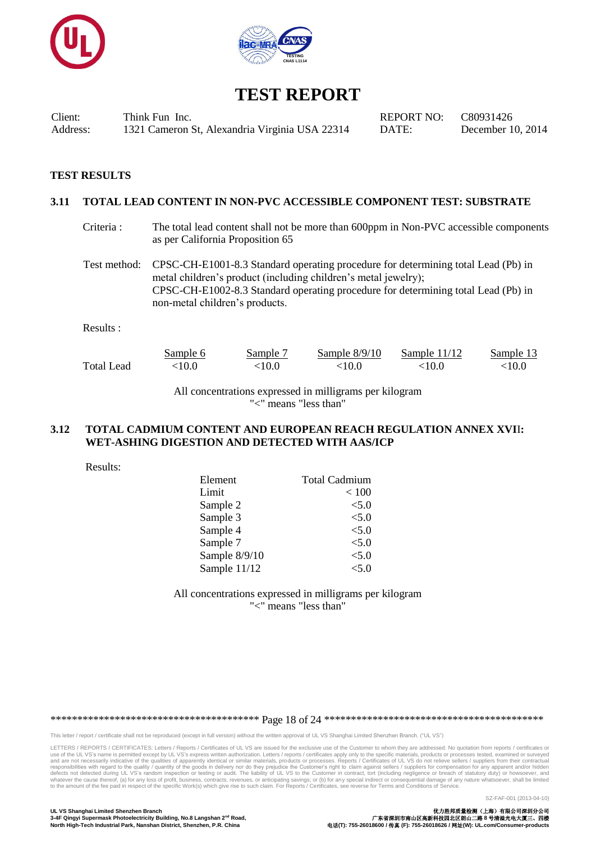![](_page_17_Picture_0.jpeg)

![](_page_17_Picture_1.jpeg)

Client: Think Fun Inc. REPORT NO: C80931426 Address: 1321 Cameron St, Alexandria Virginia USA 22314 DATE: December 10, 2014

#### **TEST RESULTS**

#### **3.11 TOTAL LEAD CONTENT IN NON-PVC ACCESSIBLE COMPONENT TEST: SUBSTRATE**

Criteria : The total lead content shall not be more than 600ppm in Non-PVC accessible components as per California Proposition 65

Test method: CPSC-CH-E1001-8.3 Standard operating procedure for determining total Lead (Pb) in metal children's product (including children's metal jewelry); CPSC-CH-E1002-8.3 Standard operating procedure for determining total Lead (Pb) in non-metal children's products.

Results :

|            | Sample 6 | Sample <sup>-</sup> | Sample $8/9/10$ | Sample $11/12$ | Sample 13 |
|------------|----------|---------------------|-----------------|----------------|-----------|
| Total Lead | :10.0    | 10.0 $^{\circ}$     | <10.0           | <10.0          | <10.0     |

All concentrations expressed in milligrams per kilogram "<" means "less than"

#### **3.12 TOTAL CADMIUM CONTENT AND EUROPEAN REACH REGULATION ANNEX XVI**I**: WET-ASHING DIGESTION AND DETECTED WITH AAS/ICP**

Results:

| Element       | <b>Total Cadmium</b> |
|---------------|----------------------|
| Limit         | < 100                |
| Sample 2      | < 5.0                |
| Sample 3      | < 5.0                |
| Sample 4      | < 5.0                |
| Sample 7      | < 5.0                |
| Sample 8/9/10 | < 5.0                |
| Sample 11/12  | < 5.0                |

All concentrations expressed in milligrams per kilogram "<" means "less than"

\*\*\*\*\*\*\*\*\*\*\*\*\*\*\*\*\*\*\*\*\*\*\*\*\*\*\*\*\*\*\*\*\*\*\*\*\*\*\* Page 18 of 24 \*\*\*\*\*\*\*\*\*\*\*\*\*\*\*\*\*\*\*\*\*\*\*\*\*\*\*\*\*\*\*\*\*\*\*\*\*\*\*\*\*

This letter / report / certificate shall not be reproduced (except in full version) without the written approval of UL VS Shanghai Limited Shenzhen Branch. ("UL VS")

LETTERS / REPORTS / CERTIFICATES: Letters / Reports / Certificates of UL VS are issued for the exclusive use of the Customer to whom they are addressed. No quotation from reports / certificates or use of the UL VS's name is permitted except by UL VS's express written authorization. Letters / reports / certificates apply only to the specific materials, products or processes tested, examined or surveyed<br>and are not ne responsibilities with regard to the quality / quantity of the goods in delivery nor do they prejudice the Customer's right to claim against sellers / suppliers for compensation for any apparent and/or hidden defects not de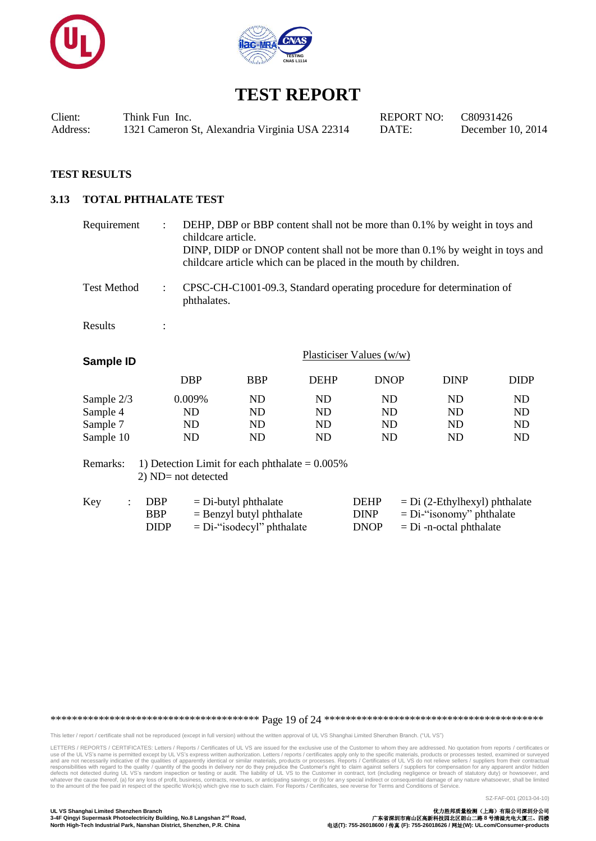![](_page_18_Picture_0.jpeg)

![](_page_18_Picture_1.jpeg)

Client: Think Fun Inc. REPORT NO: C80931426 Address: 1321 Cameron St, Alexandria Virginia USA 22314 DATE: December 10, 2014

### **TEST RESULTS**

### **3.13 TOTAL PHTHALATE TEST**

| Requirement                                                                            | $\ddot{\cdot}$           | DEHP, DBP or BBP content shall not be more than 0.1% by weight in toys and<br>childcare article.<br>DINP, DIDP or DNOP content shall not be more than 0.1% by weight in toys and<br>childcare article which can be placed in the mouth by children. |                                                      |             |                            |                                                                       |             |
|----------------------------------------------------------------------------------------|--------------------------|-----------------------------------------------------------------------------------------------------------------------------------------------------------------------------------------------------------------------------------------------------|------------------------------------------------------|-------------|----------------------------|-----------------------------------------------------------------------|-------------|
| <b>Test Method</b>                                                                     | $\ddot{\cdot}$           | phthalates.                                                                                                                                                                                                                                         |                                                      |             |                            | CPSC-CH-C1001-09.3, Standard operating procedure for determination of |             |
| Results                                                                                | $\ddot{\cdot}$           |                                                                                                                                                                                                                                                     |                                                      |             |                            |                                                                       |             |
| Sample ID                                                                              | Plasticiser Values (w/w) |                                                                                                                                                                                                                                                     |                                                      |             |                            |                                                                       |             |
|                                                                                        |                          | <b>DBP</b>                                                                                                                                                                                                                                          | <b>BBP</b>                                           | <b>DEHP</b> | <b>DNOP</b>                | <b>DINP</b>                                                           | <b>DIDP</b> |
| Sample 2/3                                                                             |                          | 0.009%                                                                                                                                                                                                                                              | ND                                                   | ND          | ND                         | ND                                                                    | ND          |
| Sample 4                                                                               |                          | ND                                                                                                                                                                                                                                                  | ND                                                   | ND          | ND                         | ND                                                                    | ND          |
| Sample 7                                                                               |                          | ND                                                                                                                                                                                                                                                  | ND                                                   | ND          | ND                         | ND                                                                    | ND          |
| Sample 10                                                                              |                          | ND                                                                                                                                                                                                                                                  | ND                                                   | <b>ND</b>   | N <sub>D</sub>             | ND                                                                    | ND          |
| Remarks:<br>1) Detection Limit for each phthalate = $0.005\%$<br>$2)$ ND= not detected |                          |                                                                                                                                                                                                                                                     |                                                      |             |                            |                                                                       |             |
| Key<br>$\ddot{\cdot}$                                                                  | <b>DBP</b><br><b>BBP</b> |                                                                                                                                                                                                                                                     | $=$ Di-butyl phthalate<br>$=$ Benzyl butyl phthalate |             | <b>DEHP</b><br><b>DINP</b> | $= Di (2-Ethylhexyl)$ phthalate<br>$= Di$ -"isonomy" phthalate        |             |

 $DIDP = Di$ -"isodecyl" phthalate  $DNOP = Di$ -n-octal phthalate

\*\*\*\*\*\*\*\*\*\*\*\*\*\*\*\*\*\*\*\*\*\*\*\*\*\*\*\*\*\*\*\*\*\*\*\*\*\*\* Page 19 of 24 \*\*\*\*\*\*\*\*\*\*\*\*\*\*\*\*\*\*\*\*\*\*\*\*\*\*\*\*\*\*\*\*\*\*\*\*\*\*\*\*\*

This letter / report / certificate shall not be reproduced (except in full version) without the written approval of UL VS Shanghai Limited Shenzhen Branch. ("UL VS")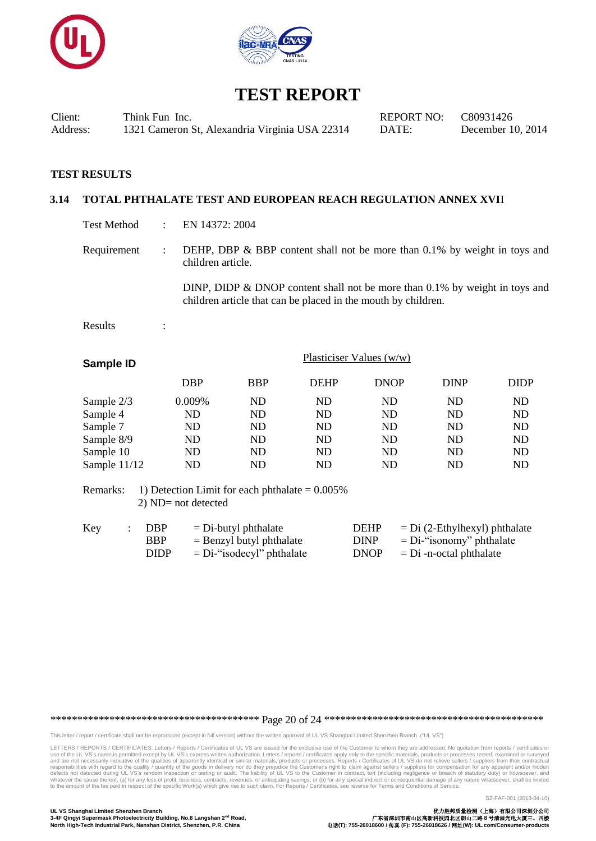![](_page_19_Picture_0.jpeg)

![](_page_19_Picture_1.jpeg)

Client: Think Fun Inc. REPORT NO: C80931426 Address: 1321 Cameron St, Alexandria Virginia USA 22314 DATE: December 10, 2014

#### **TEST RESULTS**

#### **3.14 TOTAL PHTHALATE TEST AND EUROPEAN REACH REGULATION ANNEX XVI**I

- Test Method : EN 14372: 2004
- Requirement : DEHP, DBP & BBP content shall not be more than 0.1% by weight in toys and children article.

DINP, DIDP & DNOP content shall not be more than 0.1% by weight in toys and children article that can be placed in the mouth by children.

Results :

|            | Plasticiser Values $(w/w)$ |             |             |             |             |
|------------|----------------------------|-------------|-------------|-------------|-------------|
| <b>DBP</b> | <b>BBP</b>                 | <b>DEHP</b> | <b>DNOP</b> | <b>DINP</b> | <b>DIDP</b> |
| 0.009%     | ND                         | ND          | ND          | <b>ND</b>   | ND          |
| ND         | ND                         | ND          | ND          | ND          | <b>ND</b>   |
| ND         | ND                         | ND          | ND          | ND          | ND          |
| ND         | ND                         | ND          | ND          | ND          | <b>ND</b>   |
| ND         | ND                         | ND          | ND          | ND          | ND          |
| ND         | ND                         | ND          | ND          | ND          | ND          |
|            |                            |             |             |             |             |

Remarks: 1) Detection Limit for each phthalate  $= 0.005\%$ 2) ND= not detected

| Key | DBP         | $=$ Di-butyl phthalate       | <b>DEHP</b> | $=$ Di (2-Ethylhexyl) phthalate |
|-----|-------------|------------------------------|-------------|---------------------------------|
|     | <b>BBP</b>  | $=$ Benzyl butyl phthalate   | <b>DINP</b> | $= Di$ -"isonomy" phthalate     |
|     | <b>DIDP</b> | $= Di$ -"isodecyl" phthalate | <b>DNOP</b> | $= Di$ -n-octal phthalate       |

\*\*\*\*\*\*\*\*\*\*\*\*\*\*\*\*\*\*\*\*\*\*\*\*\*\*\*\*\*\*\*\*\*\*\*\*\*\*\* Page 20 of 24 \*\*\*\*\*\*\*\*\*\*\*\*\*\*\*\*\*\*\*\*\*\*\*\*\*\*\*\*\*\*\*\*\*\*\*\*\*\*\*\*\*

This letter / report / certificate shall not be reproduced (except in full version) without the written approval of UL VS Shanghai Limited Shenzhen Branch. ("UL VS")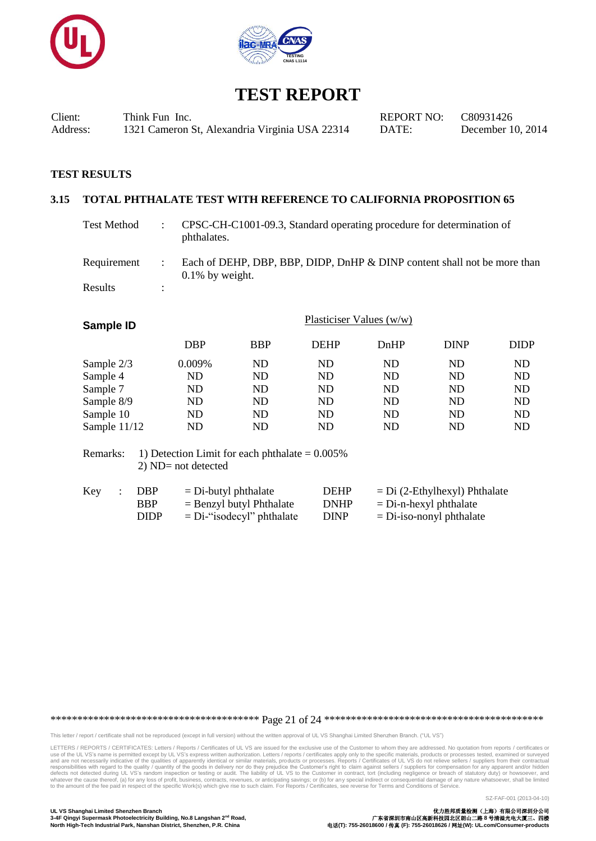![](_page_20_Picture_0.jpeg)

![](_page_20_Picture_1.jpeg)

Client: Think Fun Inc. REPORT NO: C80931426 Address: 1321 Cameron St, Alexandria Virginia USA 22314 DATE: December 10, 2014

#### **TEST RESULTS**

#### **3.15 TOTAL PHTHALATE TEST WITH REFERENCE TO CALIFORNIA PROPOSITION 65**

Test Method : CPSC-CH-C1001-09.3, Standard operating procedure for determination of phthalates.

Requirement : Each of DEHP, DBP, BBP, DIDP, DnHP & DINP content shall not be more than 0.1% by weight. Results :

| Plasticiser Values $(w/w)$ |            |             |           |             |             |
|----------------------------|------------|-------------|-----------|-------------|-------------|
| <b>DBP</b>                 | <b>BBP</b> | <b>DEHP</b> | DnHP      | <b>DINP</b> | <b>DIDP</b> |
| 0.009%                     | ND         | ND          | ND        | ND          | ND          |
| ND                         | ND         | ND          | ND        | ND          | ND          |
| ND                         | ND         | ND          | ND        | ND          | ND          |
| ND                         | ND         | <b>ND</b>   | <b>ND</b> | ND          | <b>ND</b>   |
| ND                         | ND         | ND          | <b>ND</b> | ND          | ND          |
| ND                         | ND         | ND          | ND        | ND          | ND          |
|                            |            |             |           |             |             |

Remarks: 1) Detection Limit for each phthalate  $= 0.005\%$ 2) ND= not detected

| Key | DBP         | $=$ Di-butyl phthalate       | <b>DEHP</b> | $= Di (2-Ethylhexyl) Phthalate$ |
|-----|-------------|------------------------------|-------------|---------------------------------|
|     | <b>BBP</b>  | $=$ Benzyl butyl Phthalate   | <b>DNHP</b> | $=$ Di-n-hexyl phthalate        |
|     | <b>DIDP</b> | $= Di$ -"isodecyl" phthalate | <b>DINP</b> | $=$ Di-iso-nonyl phthalate      |

\*\*\*\*\*\*\*\*\*\*\*\*\*\*\*\*\*\*\*\*\*\*\*\*\*\*\*\*\*\*\*\*\*\*\*\*\*\*\* Page 21 of 24 \*\*\*\*\*\*\*\*\*\*\*\*\*\*\*\*\*\*\*\*\*\*\*\*\*\*\*\*\*\*\*\*\*\*\*\*\*\*\*\*\*

This letter / report / certificate shall not be reproduced (except in full version) without the written approval of UL VS Shanghai Limited Shenzhen Branch. ("UL VS")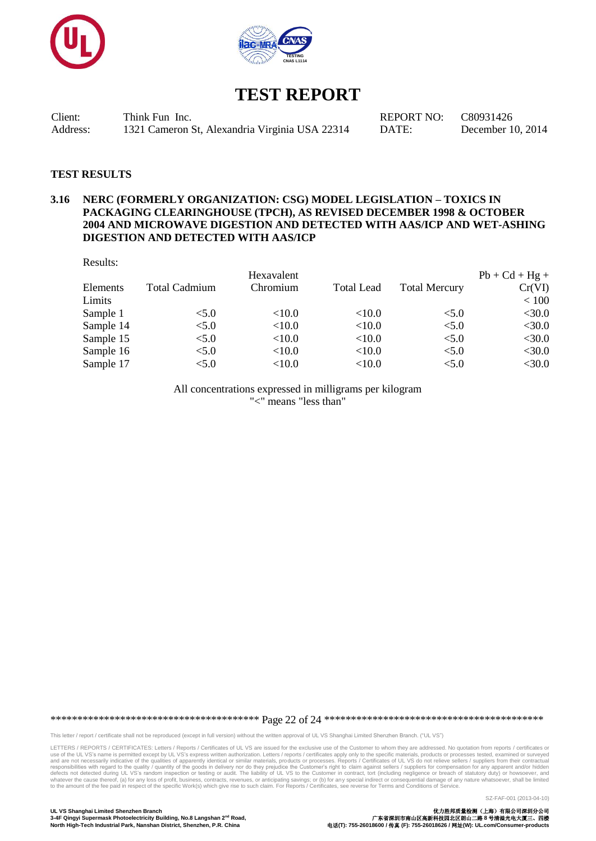![](_page_21_Picture_0.jpeg)

![](_page_21_Picture_1.jpeg)

Client: Think Fun Inc. REPORT NO: C80931426 Address: 1321 Cameron St, Alexandria Virginia USA 22314 DATE: December 10, 2014

#### **TEST RESULTS**

### **3.16 NERC (FORMERLY ORGANIZATION: CSG) MODEL LEGISLATION – TOXICS IN PACKAGING CLEARINGHOUSE (TPCH), AS REVISED DECEMBER 1998 & OCTOBER 2004 AND MICROWAVE DIGESTION AND DETECTED WITH AAS/ICP AND WET-ASHING DIGESTION AND DETECTED WITH AAS/ICP**

|               | Hexavalent |                   |                      | $Pb + Cd + Hg +$ |
|---------------|------------|-------------------|----------------------|------------------|
| Total Cadmium | Chromium   | <b>Total Lead</b> | <b>Total Mercury</b> | Cr(VI)           |
|               |            |                   |                      | < 100            |
| < 5.0         | < 10.0     | < 10.0            | < 5.0                | $<$ 30.0         |
| < 5.0         | < 10.0     | < 10.0            | < 5.0                | $<$ 30.0         |
| < 5.0         | < 10.0     | < 10.0            | < 5.0                | $<$ 30.0         |
| < 5.0         | <10.0      | <10.0             | < 5.0                | $<$ 30.0         |
| < 5.0         | < 10.0     | < 10.0            | < 5.0                | $<$ 30.0         |
|               |            |                   |                      |                  |

All concentrations expressed in milligrams per kilogram "<" means "less than"

\*\*\*\*\*\*\*\*\*\*\*\*\*\*\*\*\*\*\*\*\*\*\*\*\*\*\*\*\*\*\*\*\*\*\*\*\*\*\* Page 22 of 24 \*\*\*\*\*\*\*\*\*\*\*\*\*\*\*\*\*\*\*\*\*\*\*\*\*\*\*\*\*\*\*\*\*\*\*\*\*\*\*\*\*

This letter / report / certificate shall not be reproduced (except in full version) without the written approval of UL VS Shanghai Limited Shenzhen Branch. ("UL VS")

LETTERS / REPORTS / CERTIFICATES: Letters / Reports / Certificates of UL VS are issued for the exclusive use of the Customer to whom they are addressed. No quotation from reports / certificates or<br>use of the UL VS's name i responsibilities with regard to the quality / quantity of the goods in delivery nor do they prejudice the Customer's right to claim against sellers / suppliers for compensation for any apparent and/or hidden defects not de

SZ-FAF-001 (2013-04-10)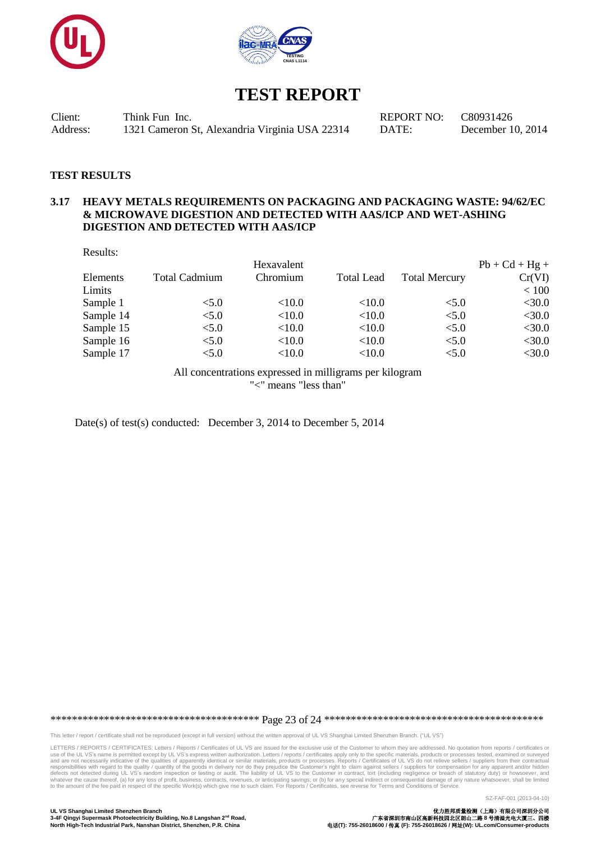![](_page_22_Picture_0.jpeg)

![](_page_22_Picture_1.jpeg)

Client: Think Fun Inc. REPORT NO: C80931426 Address: 1321 Cameron St, Alexandria Virginia USA 22314 DATE: December 10, 2014

#### **TEST RESULTS**

### **3.17 HEAVY METALS REQUIREMENTS ON PACKAGING AND PACKAGING WASTE: 94/62/EC & MICROWAVE DIGESTION AND DETECTED WITH AAS/ICP AND WET-ASHING DIGESTION AND DETECTED WITH AAS/ICP**

| Results:  |                      |            |                   |                      |                  |
|-----------|----------------------|------------|-------------------|----------------------|------------------|
|           |                      | Hexavalent |                   |                      | $Pb + Cd + Hg +$ |
| Elements  | <b>Total Cadmium</b> | Chromium   | <b>Total Lead</b> | <b>Total Mercury</b> | Cr(VI)           |
| Limits    |                      |            |                   |                      | < 100            |
| Sample 1  | < 5.0                | ${<}10.0$  | ${<}10.0$         | < 5.0                | $<$ 30.0         |
| Sample 14 | < 5.0                | < 10.0     | ${<}10.0$         | < 5.0                | $<$ 30.0         |
| Sample 15 | < 5.0                | < 10.0     | ${<}10.0$         | < 5.0                | $<$ 30.0         |
| Sample 16 | < 5.0                | < 10.0     | < 10.0            | < 5.0                | $<$ 30.0         |
| Sample 17 | < 5.0                | < 10.0     | < 10.0            | < 5.0                | $<$ 30.0         |
|           |                      |            |                   |                      |                  |

All concentrations expressed in milligrams per kilogram "<" means "less than"

Date(s) of test(s) conducted: December 3, 2014 to December 5, 2014

\*\*\*\*\*\*\*\*\*\*\*\*\*\*\*\*\*\*\*\*\*\*\*\*\*\*\*\*\*\*\*\*\*\*\*\*\*\*\* Page 23 of 24 \*\*\*\*\*\*\*\*\*\*\*\*\*\*\*\*\*\*\*\*\*\*\*\*\*\*\*\*\*\*\*\*\*\*\*\*\*\*\*\*\*

This letter / report / certificate shall not be reproduced (except in full version) without the written approval of UL VS Shanghai Limited Shenzhen Branch. ("UL VS")

LETTERS / REPORTS / CERTIFICATES: Letters / Reports / Certificates of UL VS are issued for the exclusive use of the Customer to whom they are addressed. No quotation from reports / certificates or<br>use of the UL VS's name i responsibilities with regard to the quality / quantity of the goods in delivery nor do they prejudice the Customer's right to claim against sellers / suppliers for compensation for any apparent and/or hidden defects not de

SZ-FAF-001 (2013-04-10)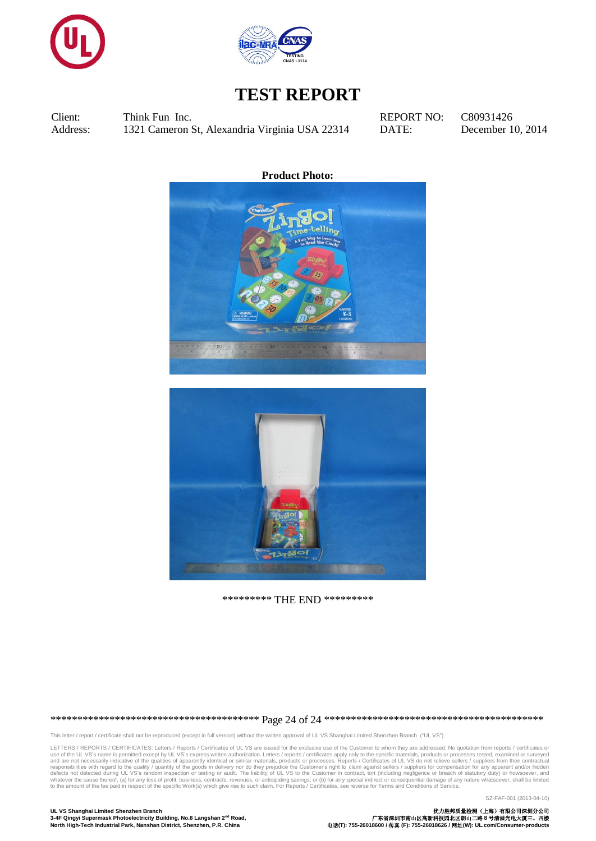![](_page_23_Picture_0.jpeg)

![](_page_23_Picture_1.jpeg)

Client: Think Fun Inc. REPORT NO: C80931426 Address: 1321 Cameron St, Alexandria Virginia USA 22314 DATE: December 10, 2014

**Product Photo:**

![](_page_23_Picture_7.jpeg)

![](_page_23_Picture_8.jpeg)

\*\*\*\*\*\*\*\*\* THE END \*\*\*\*\*\*\*\*\*

\*\*\*\*\*\*\*\*\*\*\*\*\*\*\*\*\*\*\*\*\*\*\*\*\*\*\*\*\*\*\*\*\*\*\*\*\*\*\* Page 24 of 24 \*\*\*\*\*\*\*\*\*\*\*\*\*\*\*\*\*\*\*\*\*\*\*\*\*\*\*\*\*\*\*\*\*\*\*\*\*\*\*\*\*

This letter / report / certificate shall not be reproduced (except in full version) without the written approval of UL VS Shanghai Limited Shenzhen Branch. ("UL VS")

LETTERS / REPORTS / CERTIFICATES: Letters / Reports / Certificates of UL VS are issued for the exclusive use of the Customer to whom they are addressed. No quotation from reports / certificates or<br>use of the UL VS's name i responsibilities with regard to the quality / quantity of the goods in delivery nor do they prejudice the Customer's right to claim against sellers / suppliers for compensation for any apparent and/or hidden defects not de

SZ-FAF-001 (2013-04-10)

**UL VS Shanghai Limited Shenzhen Branch** 优力胜邦质量检测(上海)有限公司深圳分公司 **3-4F Qingyi Supermask Photoelectricity Building, No.8 Langshan 2nd Road,** 广东省深圳市南山区高新科技园北区朗山二路 **8** 号清溢光电大厦三、四楼 **North High-Tech Industrial Park, Nanshan District, Shenzhen, P.R. China** 电话**(T): 755-26018600 /** 传真 **(F): 755-26018626 /** 网址**(W): UL.com/Consumer-products**